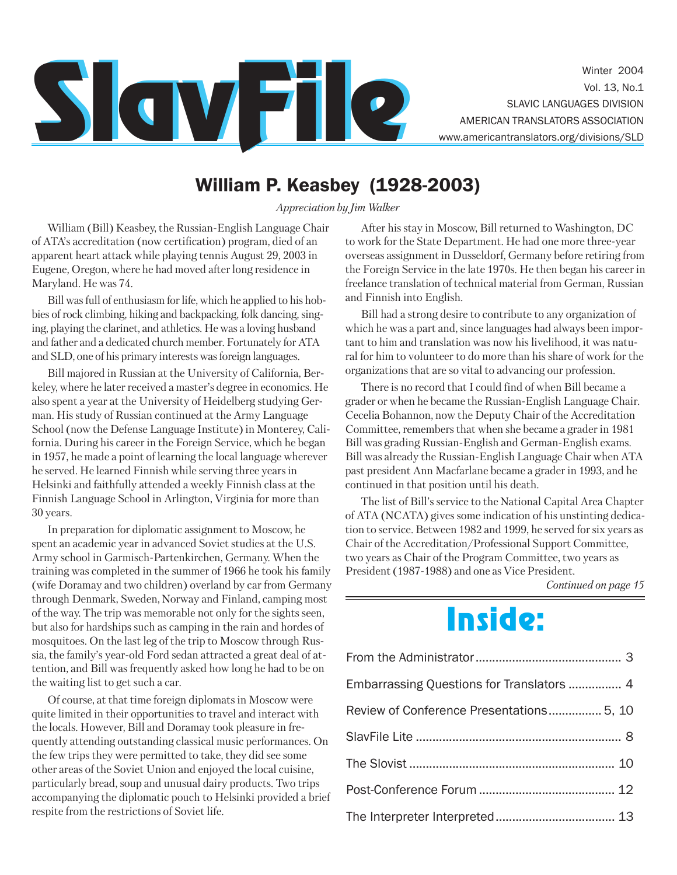

Winter 2004 Vol. 13, No.1 SLAVIC LANGUAGES DIVISION

## William P. Keasbey (1928-2003)

*Appreciation by Jim Walker*

William (Bill) Keasbey, the Russian-English Language Chair of ATA's accreditation (now certification) program, died of an apparent heart attack while playing tennis August 29, 2003 in Eugene, Oregon, where he had moved after long residence in Maryland. He was 74.

Bill was full of enthusiasm for life, which he applied to his hobbies of rock climbing, hiking and backpacking, folk dancing, singing, playing the clarinet, and athletics. He was a loving husband and father and a dedicated church member. Fortunately for ATA and SLD, one of his primary interests was foreign languages.

Bill majored in Russian at the University of California, Berkeley, where he later received a master's degree in economics. He also spent a year at the University of Heidelberg studying German. His study of Russian continued at the Army Language School (now the Defense Language Institute) in Monterey, California. During his career in the Foreign Service, which he began in 1957, he made a point of learning the local language wherever he served. He learned Finnish while serving three years in Helsinki and faithfully attended a weekly Finnish class at the Finnish Language School in Arlington, Virginia for more than 30 years.

In preparation for diplomatic assignment to Moscow, he spent an academic year in advanced Soviet studies at the U.S. Army school in Garmisch-Partenkirchen, Germany. When the training was completed in the summer of 1966 he took his family (wife Doramay and two children) overland by car from Germany through Denmark, Sweden, Norway and Finland, camping most of the way. The trip was memorable not only for the sights seen, but also for hardships such as camping in the rain and hordes of mosquitoes. On the last leg of the trip to Moscow through Russia, the family's year-old Ford sedan attracted a great deal of attention, and Bill was frequently asked how long he had to be on the waiting list to get such a car.

Of course, at that time foreign diplomats in Moscow were quite limited in their opportunities to travel and interact with the locals. However, Bill and Doramay took pleasure in frequently attending outstanding classical music performances. On the few trips they were permitted to take, they did see some other areas of the Soviet Union and enjoyed the local cuisine, particularly bread, soup and unusual dairy products. Two trips accompanying the diplomatic pouch to Helsinki provided a brief respite from the restrictions of Soviet life.

After his stay in Moscow, Bill returned to Washington, DC to work for the State Department. He had one more three-year overseas assignment in Dusseldorf, Germany before retiring from the Foreign Service in the late 1970s. He then began his career in freelance translation of technical material from German, Russian and Finnish into English.

Bill had a strong desire to contribute to any organization of which he was a part and, since languages had always been important to him and translation was now his livelihood, it was natural for him to volunteer to do more than his share of work for the organizations that are so vital to advancing our profession.

There is no record that I could find of when Bill became a grader or when he became the Russian-English Language Chair. Cecelia Bohannon, now the Deputy Chair of the Accreditation Committee, remembers that when she became a grader in 1981 Bill was grading Russian-English and German-English exams. Bill was already the Russian-English Language Chair when ATA past president Ann Macfarlane became a grader in 1993, and he continued in that position until his death.

The list of Bill's service to the National Capital Area Chapter of ATA (NCATA) gives some indication of his unstinting dedication to service. Between 1982 and 1999, he served for six years as Chair of the Accreditation/Professional Support Committee, two years as Chair of the Program Committee, two years as President (1987-1988) and one as Vice President.

*Continued on page 15*

## Inside:

| Embarrassing Questions for Translators  4 |  |
|-------------------------------------------|--|
| Review of Conference Presentations 5, 10  |  |
|                                           |  |
|                                           |  |
|                                           |  |
|                                           |  |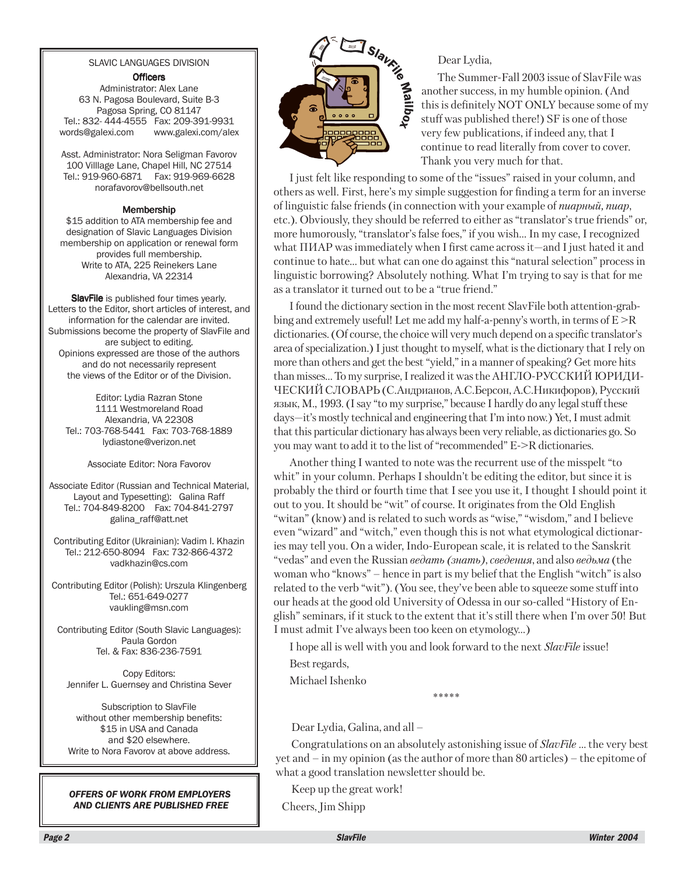#### SLAVIC LANGUAGES DIVISION

#### **Officers**

Administrator: Alex Lane 63 N. Pagosa Boulevard, Suite B-3 Pagosa Spring, CO 81147 Tel.: 832- 444-4555 Fax: 209-391-9931 words@galexi.com www.galexi.com/alex

Asst. Administrator: Nora Seligman Favorov 100 Villlage Lane, Chapel Hill, NC 27514 Tel.: 919-960-6871 Fax: 919-969-6628 norafavorov@bellsouth.net

#### Membership

\$15 addition to ATA membership fee and designation of Slavic Languages Division membership on application or renewal form provides full membership. Write to ATA, 225 Reinekers Lane Alexandria, VA 22314

SlavFile is published four times yearly. Letters to the Editor, short articles of interest, and information for the calendar are invited. Submissions become the property of SlavFile and are subject to editing. Opinions expressed are those of the authors and do not necessarily represent the views of the Editor or of the Division.

Editor: Lydia Razran Stone 1111 Westmoreland Road Alexandria, VA 22308 Tel.: 703-768-5441 Fax: 703-768-1889 lydiastone@verizon.net

#### Associate Editor: Nora Favorov

Associate Editor (Russian and Technical Material, Layout and Typesetting): Galina Raff Tel.: 704-849-8200 Fax: 704-841-2797 galina\_raff@att.net

Contributing Editor (Ukrainian): Vadim I. Khazin Tel.: 212-650-8094 Fax: 732-866-4372 vadkhazin@cs.com

Contributing Editor (Polish): Urszula Klingenberg Tel.: 651-649-0277 vaukling@msn.com

Contributing Editor (South Slavic Languages): Paula Gordon Tel. & Fax: 836-236-7591

Copy Editors: Jennifer L. Guernsey and Christina Sever

Subscription to SlavFile without other membership benefits: \$15 in USA and Canada and \$20 elsewhere. Write to Nora Favorov at above address.

*OFFERS OF WORK FROM EMPLOYERS AND CLIENTS ARE PUBLISHED FREE*



Dear Lydia,

The Summer-Fall 2003 issue of SlavFile was **1 S/a<sub>l/</sub>**<br>Dear Lydia,<br>The Summer-Fall 2003 issue of SlavFile w<br>another success, in my humble opinion. (And<br>this is definitely NOT ONLY because some of<br>stuff was published there!) SF is one of  $\frac{1}{2}$ this is definitely NOT ONLY because some of my stuff was published there!) SF is one of those very few publications, if indeed any, that I continue to read literally from cover to cover. Thank you very much for that.

I just felt like responding to some of the "issues" raised in your column, and others as well. First, here's my simple suggestion for finding a term for an inverse of linguistic false friends (in connection with your example of *пиарный*, *пиар*, etc.). Obviously, they should be referred to either as "translator's true friends" or, more humorously, "translator's false foes," if you wish… In my case, I recognized what  $\Pi$ MAP was immediately when I first came across it—and I just hated it andcontinue to hate… but what can one do against this "natural selection" process in linguistic borrowing? Absolutely nothing. What I'm trying to say is that for me as a translator it turned out to be a "true friend."

I found the dictionary section in the most recent SlavFile both attention-grabbing and extremely useful! Let me add my half-a-penny's worth, in terms of  $E > R$ dictionaries. (Of course, the choice will very much depend on a specific translator's area of specialization.) I just thought to myself, what is the dictionary that I rely on more than others and get the best "yield," in a manner of speaking? Get more hits than misses... To my surprise, I realized it was the АНГЛО-РУССКИЙ ЮРИДИ-ЧЕСКИЙ СЛОВАРЬ (С.Андрианов, А.С.Берсон, А.С.Никифоров), Русский язык, М., 1993. (I say "to my surprise," because I hardly do any legal stuff these days—it's mostly technical and engineering that I'm into now.) Yet, I must admit that this particular dictionary has always been very reliable, as dictionaries go. So you may want to add it to the list of "recommended" E->R dictionaries.

Another thing I wanted to note was the recurrent use of the misspelt "to whit" in your column. Perhaps I shouldn't be editing the editor, but since it is probably the third or fourth time that I see you use it, I thought I should point it out to you. It should be "wit" of course. It originates from the Old English "witan" (know) and is related to such words as "wise," "wisdom," and I believe even "wizard" and "witch," even though this is not what etymological dictionaries may tell you. On a wider, Indo-European scale, it is related to the Sanskrit "vedas" and even the Russian *âåäàòü (çíàòü)*, *ñâåäåíèÿ*, and also *âåäüìà* (the woman who "knows" – hence in part is my belief that the English "witch" is also related to the verb "wit"). (You see, they've been able to squeeze some stuff into our heads at the good old University of Odessa in our so-called "History of English" seminars, if it stuck to the extent that it's still there when I'm over 50! But I must admit I've always been too keen on etymology…)

I hope all is well with you and look forward to the next *SlavFile* issue!

Best regards,

Michael Ishenko

\*\*\*\*\*

Dear Lydia, Galina, and all –

Congratulations on an absolutely astonishing issue of *SlavFile* ... the very best yet and – in my opinion (as the author of more than 80 articles) – the epitome of what a good translation newsletter should be.

Keep up the great work!

Cheers, Jim Shipp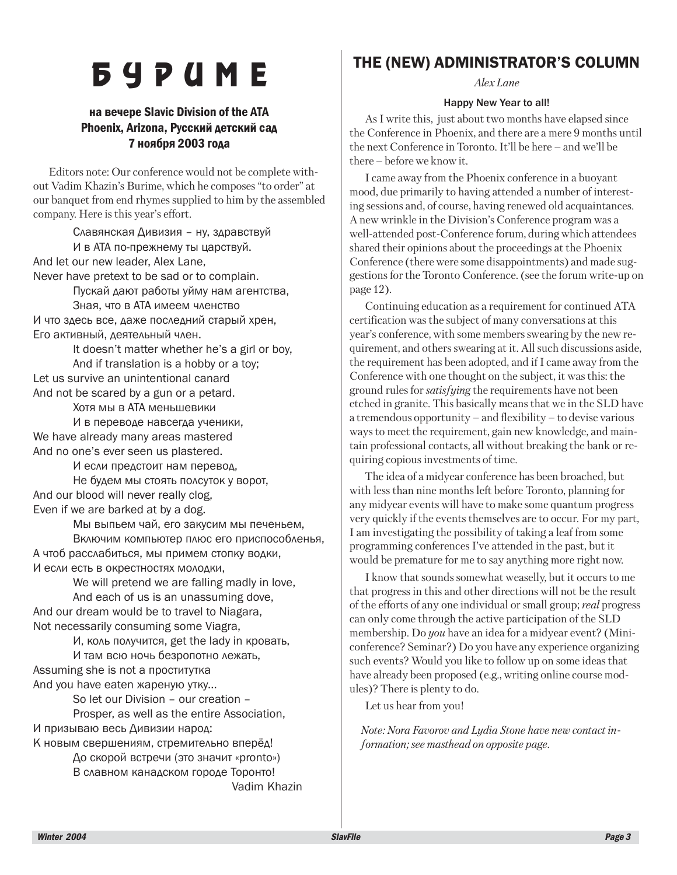# **6 Y P U M E**

#### **Ha beyepe Slavic Division of the ATA** Phoenix, Arizona, Русский детский сад 7 ноября 2003 года

Editors note: Our conference would not be complete without Vadim Khazin's Burime, which he composes "to order" at our banquet from end rhymes supplied to him by the assembled company. Here is this year's effort.

Славянская Дивизия – ну, здравствуй И в ATA по-прежнему ты царствуй. And let our new leader, Alex Lane, Never have pretext to be sad or to complain. Пускай дают работы уйму нам агентства, Зная, что в АТА имеем членство И что здесь все, даже последний старый хрен, Его активный, деятельный член. It doesn't matter whether he's a girl or boy, And if translation is a hobby or a toy; Let us survive an unintentional canard And not be scared by a gun or a petard. Хотя мы в АТА меньшевики И в переводе навсегда ученики, We have already many areas mastered And no one's ever seen us plastered. И если предстоит нам перевод, Не будем мы стоять полсуток у ворот, And our blood will never really clog, Even if we are barked at by a dog. Мы выпьем чай, его закусим мы печеньем, Включим компьютер плюс его приспособленья, А чтоб расслабиться, мы примем стопку водки, И если есть в окрестностях молодки, We will pretend we are falling madly in love, And each of us is an unassuming dove, And our dream would be to travel to Niagara, Not necessarily consuming some Viagra, И, коль получится, get the lady in кровать, И там всю ночь безропотно лежать, Assuming she is not a проститутка And you have eaten жареную утку... So let our Division – our creation – Prosper, as well as the entire Association, И призываю весь Дивизии народ: К новым свершениям, стремительно вперёд!

До скорой встречи (это значит «pronto») В славном канадском городе Торонто! Vadim Khazin

### THE (NEW) ADMINISTRATOR'S COLUMN

*Alex Lane*

#### Happy New Year to all!

As I write this, just about two months have elapsed since the Conference in Phoenix, and there are a mere 9 months until the next Conference in Toronto. It'll be here – and we'll be there – before we know it.

I came away from the Phoenix conference in a buoyant mood, due primarily to having attended a number of interesting sessions and, of course, having renewed old acquaintances. A new wrinkle in the Division's Conference program was a well-attended post-Conference forum, during which attendees shared their opinions about the proceedings at the Phoenix Conference (there were some disappointments) and made suggestions for the Toronto Conference. (see the forum write-up on page 12).

Continuing education as a requirement for continued ATA certification was the subject of many conversations at this year's conference, with some members swearing by the new requirement, and others swearing at it. All such discussions aside, the requirement has been adopted, and if I came away from the Conference with one thought on the subject, it was this: the ground rules for *satisfying* the requirements have not been etched in granite. This basically means that we in the SLD have a tremendous opportunity – and flexibility – to devise various ways to meet the requirement, gain new knowledge, and maintain professional contacts, all without breaking the bank or requiring copious investments of time.

The idea of a midyear conference has been broached, but with less than nine months left before Toronto, planning for any midyear events will have to make some quantum progress very quickly if the events themselves are to occur. For my part, I am investigating the possibility of taking a leaf from some programming conferences I've attended in the past, but it would be premature for me to say anything more right now.

I know that sounds somewhat weaselly, but it occurs to me that progress in this and other directions will not be the result of the efforts of any one individual or small group; *real* progress can only come through the active participation of the SLD membership. Do *you* have an idea for a midyear event? (Miniconference? Seminar?) Do you have any experience organizing such events? Would you like to follow up on some ideas that have already been proposed (e.g., writing online course modules)? There is plenty to do.

Let us hear from you!

*Note: Nora Favorov and Lydia Stone have new contact information; see masthead on opposite page.*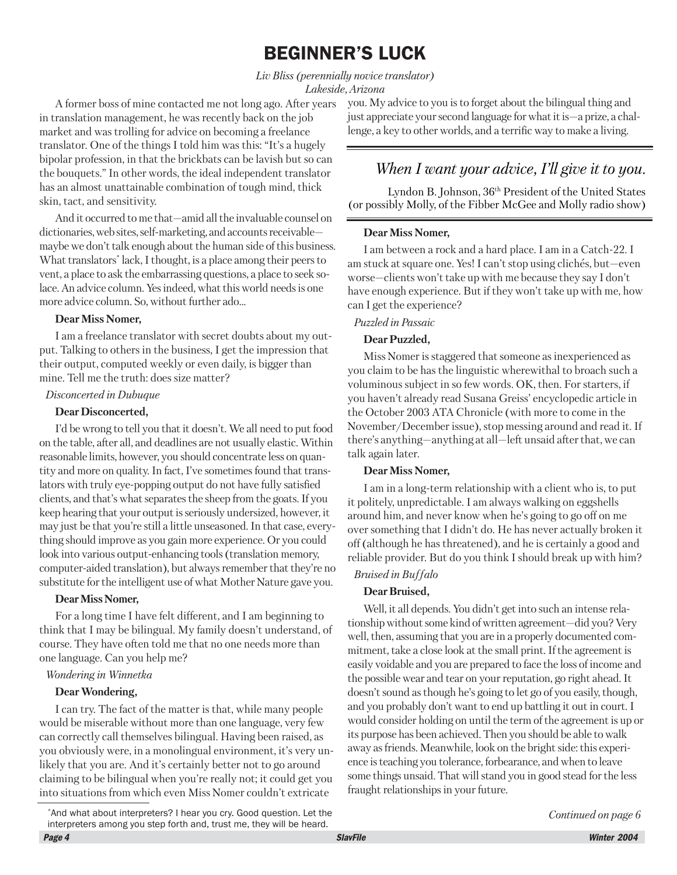## BEGINNER'S LUCK

*Liv Bliss (perennially novice translator) Lakeside, Arizona*

A former boss of mine contacted me not long ago. After years in translation management, he was recently back on the job market and was trolling for advice on becoming a freelance translator. One of the things I told him was this: "It's a hugely bipolar profession, in that the brickbats can be lavish but so can the bouquets." In other words, the ideal independent translator has an almost unattainable combination of tough mind, thick skin, tact, and sensitivity.

And it occurred to me that—amid all the invaluable counsel on dictionaries, web sites, self-marketing, and accounts receivable maybe we don't talk enough about the human side of this business. What translators\* lack, I thought, is a place among their peers to vent, a place to ask the embarrassing questions, a place to seek solace. An advice column. Yes indeed, what this world needs is one more advice column. So, without further ado...

#### **Dear Miss Nomer,**

I am a freelance translator with secret doubts about my output. Talking to others in the business, I get the impression that their output, computed weekly or even daily, is bigger than mine. Tell me the truth: does size matter?

#### *Disconcerted in Dubuque*

#### **Dear Disconcerted,**

I'd be wrong to tell you that it doesn't. We all need to put food on the table, after all, and deadlines are not usually elastic. Within reasonable limits, however, you should concentrate less on quantity and more on quality. In fact, I've sometimes found that translators with truly eye-popping output do not have fully satisfied clients, and that's what separates the sheep from the goats. If you keep hearing that your output is seriously undersized, however, it may just be that you're still a little unseasoned. In that case, everything should improve as you gain more experience. Or you could look into various output-enhancing tools (translation memory, computer-aided translation), but always remember that they're no substitute for the intelligent use of what Mother Nature gave you.

#### **Dear Miss Nomer,**

For a long time I have felt different, and I am beginning to think that I may be bilingual. My family doesn't understand, of course. They have often told me that no one needs more than one language. Can you help me?

#### *Wondering in Winnetka*

#### **Dear Wondering,**

I can try. The fact of the matter is that, while many people would be miserable without more than one language, very few can correctly call themselves bilingual. Having been raised, as you obviously were, in a monolingual environment, it's very unlikely that you are. And it's certainly better not to go around claiming to be bilingual when you're really not; it could get you into situations from which even Miss Nomer couldn't extricate

you. My advice to you is to forget about the bilingual thing and just appreciate your second language for what it is—a prize, a challenge, a key to other worlds, and a terrific way to make a living.

### *When I want your advice, I'll give it to you.*

Lyndon B. Johnson, 36th President of the United States (or possibly Molly, of the Fibber McGee and Molly radio show)

#### **Dear Miss Nomer,**

I am between a rock and a hard place. I am in a Catch-22. I am stuck at square one. Yes! I can't stop using clichés, but—even worse—clients won't take up with me because they say I don't have enough experience. But if they won't take up with me, how can I get the experience?

#### *Puzzled in Passaic*

#### **Dear Puzzled,**

Miss Nomer is staggered that someone as inexperienced as you claim to be has the linguistic wherewithal to broach such a voluminous subject in so few words. OK, then. For starters, if you haven't already read Susana Greiss' encyclopedic article in the October 2003 ATA Chronicle (with more to come in the November/December issue), stop messing around and read it. If there's anything—anything at all—left unsaid after that, we can talk again later.

#### **Dear Miss Nomer,**

I am in a long-term relationship with a client who is, to put it politely, unpredictable. I am always walking on eggshells around him, and never know when he's going to go off on me over something that I didn't do. He has never actually broken it off (although he has threatened), and he is certainly a good and reliable provider. But do you think I should break up with him?

#### *Bruised in Buffalo*

#### **Dear Bruised,**

Well, it all depends. You didn't get into such an intense relationship without some kind of written agreement—did you? Very well, then, assuming that you are in a properly documented commitment, take a close look at the small print. If the agreement is easily voidable and you are prepared to face the loss of income and the possible wear and tear on your reputation, go right ahead. It doesn't sound as though he's going to let go of you easily, though, and you probably don't want to end up battling it out in court. I would consider holding on until the term of the agreement is up or its purpose has been achieved. Then you should be able to walk away as friends. Meanwhile, look on the bright side: this experience is teaching you tolerance, forbearance, and when to leave some things unsaid. That will stand you in good stead for the less fraught relationships in your future.

<sup>\*</sup>And what about interpreters? I hear you cry. Good question. Let the interpreters among you step forth and, trust me, they will be heard.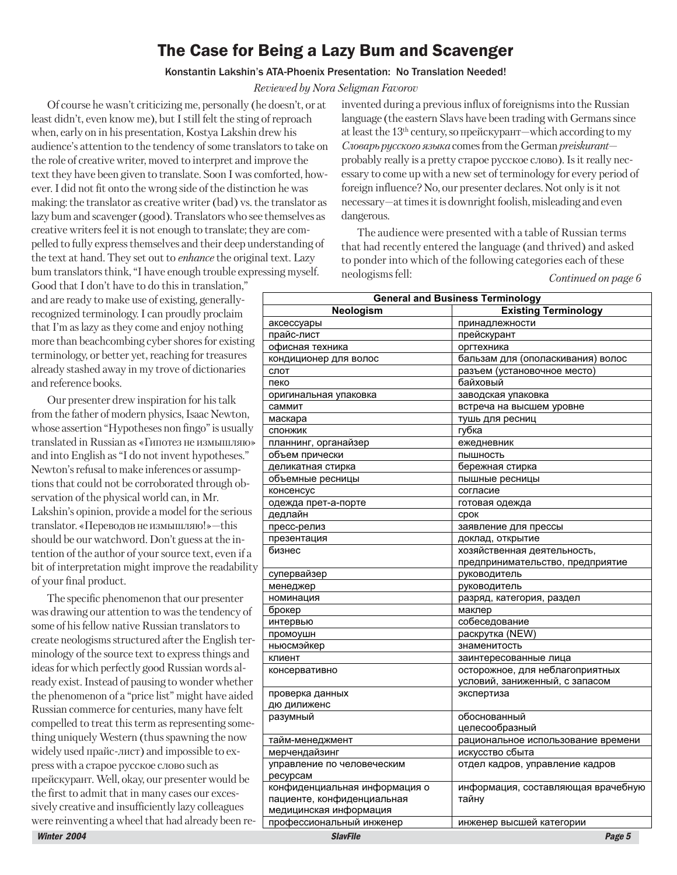## The Case for Being a Lazy Bum and Scavenger

#### Konstantin Lakshin's ATA-Phoenix Presentation: No Translation Needed!

#### *Reviewed by Nora Seligman Favorov*

Of course he wasn't criticizing me, personally (he doesn't, or at least didn't, even know me), but I still felt the sting of reproach when, early on in his presentation, Kostya Lakshin drew his audience's attention to the tendency of some translators to take on the role of creative writer, moved to interpret and improve the text they have been given to translate. Soon I was comforted, however. I did not fit onto the wrong side of the distinction he was making: the translator as creative writer (bad) vs. the translator as lazy bum and scavenger (good). Translators who see themselves as creative writers feel it is not enough to translate; they are compelled to fully express themselves and their deep understanding of the text at hand. They set out to *enhance* the original text. Lazy bum translators think, "I have enough trouble expressing myself.

Good that I don't have to do this in translation," and are ready to make use of existing, generallyrecognized terminology. I can proudly proclaim that I'm as lazy as they come and enjoy nothing more than beachcombing cyber shores for existing terminology, or better yet, reaching for treasures already stashed away in my trove of dictionaries and reference books.

invented during a previous influx of foreignisms into the Russian language (the eastern Slavs have been trading with Germans since at least the  $13<sup>th</sup>$  century, so прейскурант—which according to my *Ñëîâàðü ðóññêîãî ÿçûêà* comes from the German *preiskurant* probably really is a pretty старое русское слово). Is it really necessary to come up with a new set of terminology for every period of foreign influence? No, our presenter declares. Not only is it not necessary—at times it is downright foolish, misleading and even dangerous.

The audience were presented with a table of Russian terms that had recently entered the language (and thrived) and asked to ponder into which of the following categories each of these neologisms fell: *Continued on page 6*

| and are ready to make use of existing, generally-    | <b>General and Business Terminology</b>            |                                    |
|------------------------------------------------------|----------------------------------------------------|------------------------------------|
| recognized terminology. I can proudly proclaim       | Neologism                                          | <b>Existing Terminology</b>        |
| that I'm as lazy as they come and enjoy nothing      | аксессуары                                         | принадлежности                     |
|                                                      | прайс-лист                                         | прейскурант                        |
| more than beachcombing cyber shores for existing     | офисная техника                                    | оргтехника                         |
| terminology, or better yet, reaching for treasures   | кондиционер для волос                              | бальзам для (ополаскивания) волос  |
| already stashed away in my trove of dictionaries     | слот                                               | разъем (установочное место)        |
| and reference books.                                 | пеко                                               | байховый                           |
| Our presenter drew inspiration for his talk          | оригинальная упаковка                              | заводская упаковка                 |
| from the father of modern physics, Isaac Newton,     | саммит                                             | встреча на высшем уровне           |
|                                                      | маскара                                            | тушь для ресниц                    |
| whose assertion "Hypotheses non fingo" is usually    | <b>СПОНЖИК</b>                                     | губка                              |
| translated in Russian as «Гипотез не измышляю»       | планнинг, органайзер                               | ежедневник                         |
| and into English as "I do not invent hypotheses."    | объем прически                                     | ПЫШНОСТЬ                           |
| Newton's refusal to make inferences or assump-       | деликатная стирка                                  | бережная стирка                    |
| tions that could not be corroborated through ob-     | объемные ресницы                                   | пышные ресницы                     |
| servation of the physical world can, in Mr.          | консенсус                                          | согласие                           |
| Lakshin's opinion, provide a model for the serious   | одежда прет-а-порте                                | готовая одежда                     |
|                                                      | дедлайн                                            | срок                               |
| translator. «Переводов не измышляю!»—this            | пресс-релиз                                        | заявление для прессы               |
| should be our watchword. Don't guess at the in-      | презентация                                        | доклад, открытие                   |
| tention of the author of your source text, even if a | бизнес                                             | хозяйственная деятельность,        |
| bit of interpretation might improve the readability  | супервайзер                                        | предпринимательство, предприятие   |
| of your final product.                               | менеджер                                           | руководитель<br>руководитель       |
| The specific phenomenon that our presenter           | номинация                                          | разряд, категория, раздел          |
|                                                      | брокер                                             | маклер                             |
| was drawing our attention to was the tendency of     | интервью                                           | собеседование                      |
| some of his fellow native Russian translators to     | промоушн                                           | раскрутка (NEW)                    |
| create neologisms structured after the English ter-  | ньюсмэйкер                                         | знаменитость                       |
| minology of the source text to express things and    | клиент                                             | заинтересованные лица              |
| ideas for which perfectly good Russian words al-     | консервативно                                      | осторожное, для неблагоприятных    |
| ready exist. Instead of pausing to wonder whether    |                                                    | условий, заниженный, с запасом     |
| the phenomenon of a "price list" might have aided    | проверка данных                                    | экспертиза                         |
| Russian commerce for centuries, many have felt       | дю дилиженс                                        |                                    |
|                                                      | разумный                                           | обоснованный                       |
| compelled to treat this term as representing some-   |                                                    | целесообразный                     |
| thing uniquely Western (thus spawning the now        | тайм-менеджмент                                    | рациональное использование времени |
| widely used прайс-лист) and impossible to ex-        | мерчендайзинг                                      | искусство сбыта                    |
| press with a старое русское слово such as            | управление по человеческим                         | отдел кадров, управление кадров    |
| прейскурант. Well, okay, our presenter would be      | ресурсам                                           |                                    |
| the first to admit that in many cases our exces-     | конфиденциальная информация о                      | информация, составляющая врачебную |
| sively creative and insufficiently lazy colleagues   | пациенте, конфиденциальная                         | тайну                              |
| were reinventing a wheel that had already been re-   | медицинская информация<br>профессиональный инженер | инженер высшей категории           |
|                                                      |                                                    |                                    |
| Winter 2004                                          | <b>SlavFile</b>                                    | Page 5                             |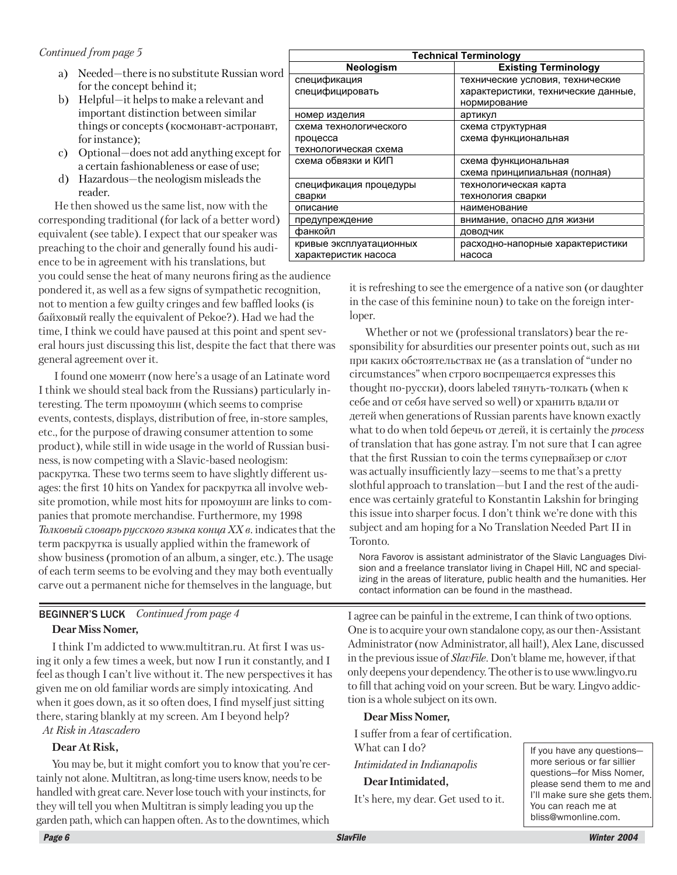- a) Needed—there is no substitute Russian word for the concept behind it;
- b) Helpful—it helps to make a relevant and important distinction between similar things or concepts (космонавт-астронавт, for instance);
- c) Optional—does not add anything except for a certain fashionableness or ease of use;
- d) Hazardous—the neologism misleads the reader.

He then showed us the same list, now with the corresponding traditional (for lack of a better word) equivalent (see table). I expect that our speaker was preaching to the choir and generally found his audience to be in agreement with his translations, but

you could sense the heat of many neurons firing as the audience pondered it, as well as a few signs of sympathetic recognition, not to mention a few guilty cringes and few baffled looks (is байховый really the equivalent of Pekoe?). Had we had the time, I think we could have paused at this point and spent several hours just discussing this list, despite the fact that there was general agreement over it.

I found one MOMEHT (now here's a usage of an Latinate word I think we should steal back from the Russians) particularly interesting. The term  $\pi$ <sup>nonov</sup> unit (which seems to comprise) events, contests, displays, distribution of free, in-store samples, etc., for the purpose of drawing consumer attention to some product), while still in wide usage in the world of Russian business, is now competing with a Slavic-based neologism: раскрутка. These two terms seem to have slightly different usages: the first 10 hits on Yandex for раскрутка all involve website promotion, while most hits for промоушн are links to companies that promote merchandise. Furthermore, my 1998 *Òîëêîâûé ñëîâàðü ðóññêîãî ÿçûêà êîíöà XX â.* indicates that the term раскрутка is usually applied within the framework of show business (promotion of an album, a singer, etc.). The usage of each term seems to be evolving and they may both eventually carve out a permanent niche for themselves in the language, but

| <b>Technical Terminology</b> |                                     |  |
|------------------------------|-------------------------------------|--|
| Neologism                    | <b>Existing Terminology</b>         |  |
| спецификация                 | технические условия, технические    |  |
| специфицировать              | характеристики, технические данные, |  |
|                              | нормирование                        |  |
| номер изделия                | артикул                             |  |
| схема технологического       | схема структурная                   |  |
| процесса                     | схема функциональная                |  |
| технологическая схема        |                                     |  |
| схема обвязки и КИП          | схема функциональная                |  |
|                              | схема принципиальная (полная)       |  |
| спецификация процедуры       | технологическая карта               |  |
| сварки                       | технология сварки                   |  |
| описание                     | наименование                        |  |
| предупреждение               | внимание, опасно для жизни          |  |
| фанкойл                      | ДОВОДЧИК                            |  |
| кривые эксплуатационных      | расходно-напорные характеристики    |  |
| характеристик насоса         | насоса                              |  |

it is refreshing to see the emergence of a native son (or daughter in the case of this feminine noun) to take on the foreign interloper.

Whether or not we (professional translators) bear the responsibility for absurdities our presenter points out, such as  $H$ <sup>*i*</sup> при каких обстоятельствах не (as a translation of "under no circumstances" when строго воспрещается expresses this thought по-русски), doors labeled тянуть-толкать (when к себе and от себя have served so well) ог хранить вдали от äåòåé when generations of Russian parents have known exactly what to do when told áåðå÷ü îò äåòåé, it is certainly the *process* of translation that has gone astray. I'm not sure that I can agree that the first Russian to coin the terms cynepsañaep or слот was actually insufficiently lazy—seems to me that's a pretty slothful approach to translation—but I and the rest of the audience was certainly grateful to Konstantin Lakshin for bringing this issue into sharper focus. I don't think we're done with this subject and am hoping for a No Translation Needed Part II in Toronto.

Nora Favorov is assistant administrator of the Slavic Languages Division and a freelance translator living in Chapel Hill, NC and specializing in the areas of literature, public health and the humanities. Her contact information can be found in the masthead.

|                  | <b>BEGINNER'S LUCK</b> Continued from page 4 |
|------------------|----------------------------------------------|
| Dear Miss Nomer, |                                              |

I think I'm addicted to www.multitran.ru. At first I was using it only a few times a week, but now I run it constantly, and I feel as though I can't live without it. The new perspectives it has given me on old familiar words are simply intoxicating. And when it goes down, as it so often does, I find myself just sitting there, staring blankly at my screen. Am I beyond help?

*At Risk in Atascadero*

#### **Dear At Risk,**

You may be, but it might comfort you to know that you're certainly not alone. Multitran, as long-time users know, needs to be handled with great care. Never lose touch with your instincts, for they will tell you when Multitran is simply leading you up the garden path, which can happen often. As to the downtimes, which

I agree can be painful in the extreme, I can think of two options. One is to acquire your own standalone copy, as our then-Assistant Administrator (now Administrator, all hail!), Alex Lane, discussed in the previous issue of *SlavFile*. Don't blame me, however, if that only deepens your dependency. The other is to use www.lingvo.ru to fill that aching void on your screen. But be wary. Lingvo addiction is a whole subject on its own.

#### **Dear Miss Nomer,**

I suffer from a fear of certification. What can I do?

*Intimidated in Indianapolis*

#### **Dear Intimidated,**

It's here, my dear. Get used to it.

If you have any questions more serious or far sillier questions—for Miss Nomer, please send them to me and I'll make sure she gets them. You can reach me at bliss@wmonline.com.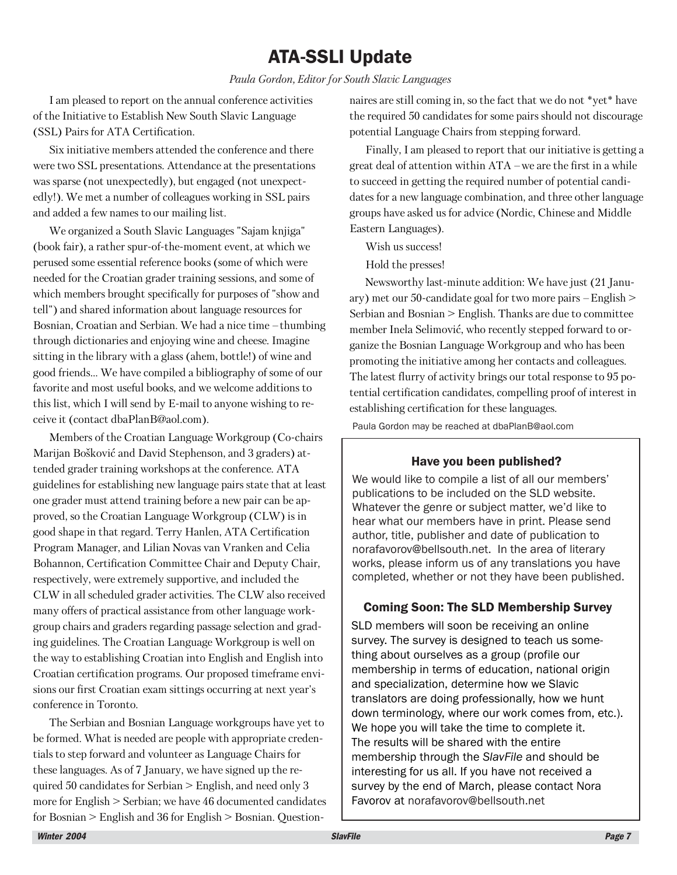## ATA-SSLI Update

*Paula Gordon, Editor for South Slavic Languages*

I am pleased to report on the annual conference activities of the Initiative to Establish New South Slavic Language (SSL) Pairs for ATA Certification.

Six initiative members attended the conference and there were two SSL presentations. Attendance at the presentations was sparse (not unexpectedly), but engaged (not unexpectedly!). We met a number of colleagues working in SSL pairs and added a few names to our mailing list.

We organized a South Slavic Languages "Sajam knjiga" (book fair), a rather spur-of-the-moment event, at which we perused some essential reference books (some of which were needed for the Croatian grader training sessions, and some of which members brought specifically for purposes of "show and tell") and shared information about language resources for Bosnian, Croatian and Serbian. We had a nice time – thumbing through dictionaries and enjoying wine and cheese. Imagine sitting in the library with a glass (ahem, bottle!) of wine and good friends… We have compiled a bibliography of some of our favorite and most useful books, and we welcome additions to this list, which I will send by E-mail to anyone wishing to receive it (contact dbaPlanB@aol.com).

Members of the Croatian Language Workgroup (Co-chairs Marijan Bošković and David Stephenson, and 3 graders) attended grader training workshops at the conference. ATA guidelines for establishing new language pairs state that at least one grader must attend training before a new pair can be approved, so the Croatian Language Workgroup (CLW) is in good shape in that regard. Terry Hanlen, ATA Certification Program Manager, and Lilian Novas van Vranken and Celia Bohannon, Certification Committee Chair and Deputy Chair, respectively, were extremely supportive, and included the CLW in all scheduled grader activities. The CLW also received many offers of practical assistance from other language workgroup chairs and graders regarding passage selection and grading guidelines. The Croatian Language Workgroup is well on the way to establishing Croatian into English and English into Croatian certification programs. Our proposed timeframe envisions our first Croatian exam sittings occurring at next year's conference in Toronto.

The Serbian and Bosnian Language workgroups have yet to be formed. What is needed are people with appropriate credentials to step forward and volunteer as Language Chairs for these languages. As of 7 January, we have signed up the required 50 candidates for Serbian > English, and need only 3 more for English > Serbian; we have 46 documented candidates for Bosnian > English and 36 for English > Bosnian. Questionnaires are still coming in, so the fact that we do not \*yet\* have the required 50 candidates for some pairs should not discourage potential Language Chairs from stepping forward.

Finally, I am pleased to report that our initiative is getting a great deal of attention within ATA – we are the first in a while to succeed in getting the required number of potential candidates for a new language combination, and three other language groups have asked us for advice (Nordic, Chinese and Middle Eastern Languages).

Wish us success!

Hold the presses!

Newsworthy last-minute addition: We have just (21 January) met our 50-candidate goal for two more pairs – English > Serbian and Bosnian > English. Thanks are due to committee member Inela Selimović, who recently stepped forward to organize the Bosnian Language Workgroup and who has been promoting the initiative among her contacts and colleagues. The latest flurry of activity brings our total response to 95 potential certification candidates, compelling proof of interest in establishing certification for these languages.

Paula Gordon may be reached at dbaPlanB@aol.com

#### Have you been published?

We would like to compile a list of all our members' publications to be included on the SLD website. Whatever the genre or subject matter, we'd like to hear what our members have in print. Please send author, title, publisher and date of publication to norafavorov@bellsouth.net. In the area of literary works, please inform us of any translations you have completed, whether or not they have been published.

#### Coming Soon: The SLD Membership Survey

SLD members will soon be receiving an online survey. The survey is designed to teach us something about ourselves as a group (profile our membership in terms of education, national origin and specialization, determine how we Slavic translators are doing professionally, how we hunt down terminology, where our work comes from, etc.). We hope you will take the time to complete it. The results will be shared with the entire membership through the *SlavFile* and should be interesting for us all. If you have not received a survey by the end of March, please contact Nora Favorov at norafavorov@bellsouth.net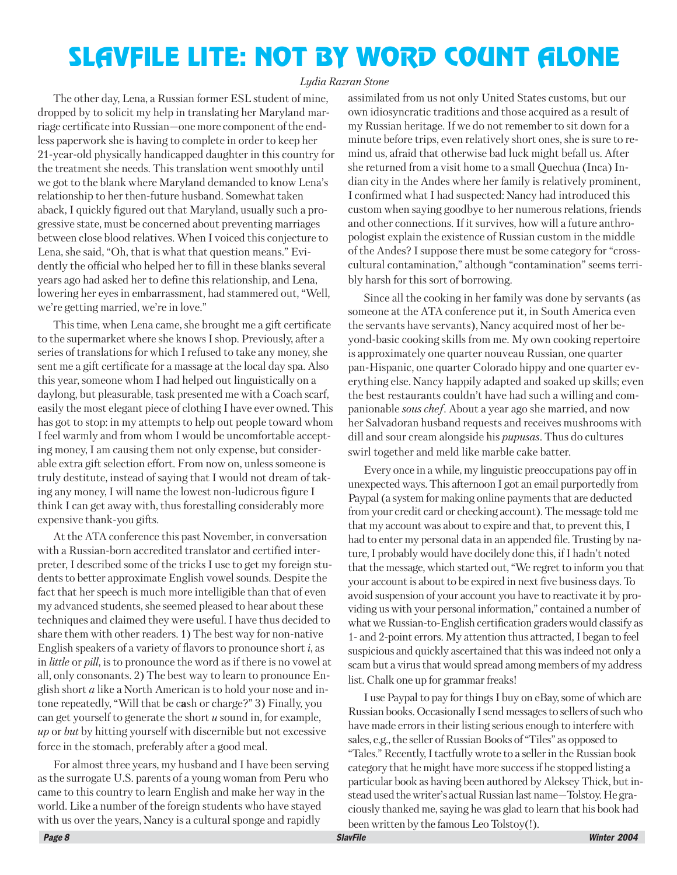## SLAVFILE LITE: NOT BY WORD COUNT ALONE

#### *Lydia Razran Stone*

The other day, Lena, a Russian former ESL student of mine, dropped by to solicit my help in translating her Maryland marriage certificate into Russian—one more component of the endless paperwork she is having to complete in order to keep her 21-year-old physically handicapped daughter in this country for the treatment she needs. This translation went smoothly until we got to the blank where Maryland demanded to know Lena's relationship to her then-future husband. Somewhat taken aback, I quickly figured out that Maryland, usually such a progressive state, must be concerned about preventing marriages between close blood relatives. When I voiced this conjecture to Lena, she said, "Oh, that is what that question means." Evidently the official who helped her to fill in these blanks several years ago had asked her to define this relationship, and Lena, lowering her eyes in embarrassment, had stammered out, "Well, we're getting married, we're in love."

This time, when Lena came, she brought me a gift certificate to the supermarket where she knows I shop. Previously, after a series of translations for which I refused to take any money, she sent me a gift certificate for a massage at the local day spa. Also this year, someone whom I had helped out linguistically on a daylong, but pleasurable, task presented me with a Coach scarf, easily the most elegant piece of clothing I have ever owned. This has got to stop: in my attempts to help out people toward whom I feel warmly and from whom I would be uncomfortable accepting money, I am causing them not only expense, but considerable extra gift selection effort. From now on, unless someone is truly destitute, instead of saying that I would not dream of taking any money, I will name the lowest non-ludicrous figure I think I can get away with, thus forestalling considerably more expensive thank-you gifts.

At the ATA conference this past November, in conversation with a Russian-born accredited translator and certified interpreter, I described some of the tricks I use to get my foreign students to better approximate English vowel sounds. Despite the fact that her speech is much more intelligible than that of even my advanced students, she seemed pleased to hear about these techniques and claimed they were useful. I have thus decided to share them with other readers. 1) The best way for non-native English speakers of a variety of flavors to pronounce short *i*, as in *little* or *pill*, is to pronounce the word as if there is no vowel at all, only consonants. 2) The best way to learn to pronounce English short *a* like a North American is to hold your nose and intone repeatedly, "Will that be c**a**sh or charge?" 3) Finally, you can get yourself to generate the short *u* sound in, for example, *up* or *but* by hitting yourself with discernible but not excessive force in the stomach, preferably after a good meal.

For almost three years, my husband and I have been serving as the surrogate U.S. parents of a young woman from Peru who came to this country to learn English and make her way in the world. Like a number of the foreign students who have stayed with us over the years, Nancy is a cultural sponge and rapidly

assimilated from us not only United States customs, but our own idiosyncratic traditions and those acquired as a result of my Russian heritage. If we do not remember to sit down for a minute before trips, even relatively short ones, she is sure to remind us, afraid that otherwise bad luck might befall us. After she returned from a visit home to a small Quechua (Inca) Indian city in the Andes where her family is relatively prominent, I confirmed what I had suspected: Nancy had introduced this custom when saying goodbye to her numerous relations, friends and other connections. If it survives, how will a future anthropologist explain the existence of Russian custom in the middle of the Andes? I suppose there must be some category for "crosscultural contamination," although "contamination" seems terribly harsh for this sort of borrowing.

Since all the cooking in her family was done by servants (as someone at the ATA conference put it, in South America even the servants have servants), Nancy acquired most of her beyond-basic cooking skills from me. My own cooking repertoire is approximately one quarter nouveau Russian, one quarter pan-Hispanic, one quarter Colorado hippy and one quarter everything else. Nancy happily adapted and soaked up skills; even the best restaurants couldn't have had such a willing and companionable *sous chef*. About a year ago she married, and now her Salvadoran husband requests and receives mushrooms with dill and sour cream alongside his *pupusas*. Thus do cultures swirl together and meld like marble cake batter.

Every once in a while, my linguistic preoccupations pay off in unexpected ways. This afternoon I got an email purportedly from Paypal (a system for making online payments that are deducted from your credit card or checking account). The message told me that my account was about to expire and that, to prevent this, I had to enter my personal data in an appended file. Trusting by nature, I probably would have docilely done this, if I hadn't noted that the message, which started out, "We regret to inform you that your account is about to be expired in next five business days. To avoid suspension of your account you have to reactivate it by providing us with your personal information," contained a number of what we Russian-to-English certification graders would classify as 1- and 2-point errors. My attention thus attracted, I began to feel suspicious and quickly ascertained that this was indeed not only a scam but a virus that would spread among members of my address list. Chalk one up for grammar freaks!

I use Paypal to pay for things I buy on eBay, some of which are Russian books. Occasionally I send messages to sellers of such who have made errors in their listing serious enough to interfere with sales, e.g., the seller of Russian Books of "Tiles" as opposed to "Tales." Recently, I tactfully wrote to a seller in the Russian book category that he might have more success if he stopped listing a particular book as having been authored by Aleksey Thick, but instead used the writer's actual Russian last name—Tolstoy. He graciously thanked me, saying he was glad to learn that his book had been written by the famous Leo Tolstoy(!).<br>SlavFile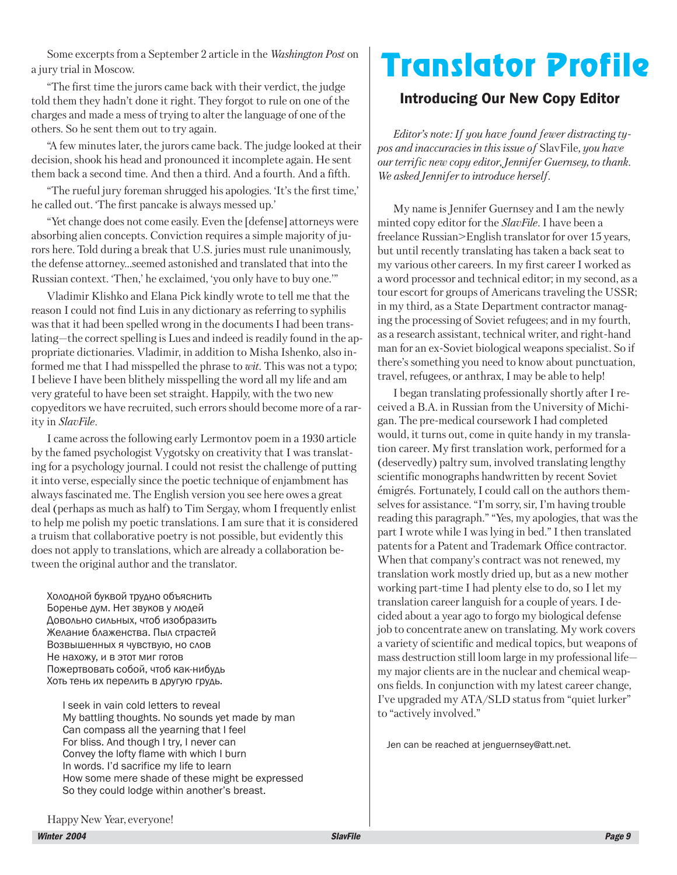Some excerpts from a September 2 article in the *Washington Post* on a jury trial in Moscow.

"The first time the jurors came back with their verdict, the judge told them they hadn't done it right. They forgot to rule on one of the charges and made a mess of trying to alter the language of one of the others. So he sent them out to try again.

"A few minutes later, the jurors came back. The judge looked at their decision, shook his head and pronounced it incomplete again. He sent them back a second time. And then a third. And a fourth. And a fifth.

"The rueful jury foreman shrugged his apologies. 'It's the first time,' he called out. 'The first pancake is always messed up.'

"Yet change does not come easily. Even the [defense] attorneys were absorbing alien concepts. Conviction requires a simple majority of jurors here. Told during a break that U.S. juries must rule unanimously, the defense attorney…seemed astonished and translated that into the Russian context. 'Then,' he exclaimed, 'you only have to buy one.'"

Vladimir Klishko and Elana Pick kindly wrote to tell me that the reason I could not find Luis in any dictionary as referring to syphilis was that it had been spelled wrong in the documents I had been translating—the correct spelling is Lues and indeed is readily found in the appropriate dictionaries. Vladimir, in addition to Misha Ishenko, also informed me that I had misspelled the phrase to *wit.* This was not a typo; I believe I have been blithely misspelling the word all my life and am very grateful to have been set straight. Happily, with the two new copyeditors we have recruited, such errors should become more of a rarity in *SlavFile*.

I came across the following early Lermontov poem in a 1930 article by the famed psychologist Vygotsky on creativity that I was translating for a psychology journal. I could not resist the challenge of putting it into verse, especially since the poetic technique of enjambment has always fascinated me. The English version you see here owes a great deal (perhaps as much as half) to Tim Sergay, whom I frequently enlist to help me polish my poetic translations. I am sure that it is considered a truism that collaborative poetry is not possible, but evidently this does not apply to translations, which are already a collaboration between the original author and the translator.

Холодной буквой трудно объяснить Боренье дум. Нет звуков у людей Довольно сильных, чтоб изобразить Желание блаженства. Пыл страстей Возвышенных я чувствую, но слов Не нахожу, и в этот миг готов Пожертвовать собой, чтоб как-нибудь Хоть тень их перелить в другую грудь.

I seek in vain cold letters to reveal My battling thoughts. No sounds yet made by man Can compass all the yearning that I feel For bliss. And though I try, I never can Convey the lofty flame with which I burn In words. I'd sacrifice my life to learn How some mere shade of these might be expressed So they could lodge within another's breast.

## Translator Profile

### Introducing Our New Copy Editor

*Editor's note: If you have found fewer distracting typos and inaccuracies in this issue of* SlavFile*, you have our terrific new copy editor, Jennifer Guernsey, to thank. We asked Jennifer to introduce herself.*

My name is Jennifer Guernsey and I am the newly minted copy editor for the *SlavFile*. I have been a freelance Russian>English translator for over 15 years, but until recently translating has taken a back seat to my various other careers. In my first career I worked as a word processor and technical editor; in my second, as a tour escort for groups of Americans traveling the USSR; in my third, as a State Department contractor managing the processing of Soviet refugees; and in my fourth, as a research assistant, technical writer, and right-hand man for an ex-Soviet biological weapons specialist. So if there's something you need to know about punctuation, travel, refugees, or anthrax, I may be able to help!

I began translating professionally shortly after I received a B.A. in Russian from the University of Michigan. The pre-medical coursework I had completed would, it turns out, come in quite handy in my translation career. My first translation work, performed for a (deservedly) paltry sum, involved translating lengthy scientific monographs handwritten by recent Soviet émigrés. Fortunately, I could call on the authors themselves for assistance. "I'm sorry, sir, I'm having trouble reading this paragraph." "Yes, my apologies, that was the part I wrote while I was lying in bed." I then translated patents for a Patent and Trademark Office contractor. When that company's contract was not renewed, my translation work mostly dried up, but as a new mother working part-time I had plenty else to do, so I let my translation career languish for a couple of years. I decided about a year ago to forgo my biological defense job to concentrate anew on translating. My work covers a variety of scientific and medical topics, but weapons of mass destruction still loom large in my professional life my major clients are in the nuclear and chemical weapons fields. In conjunction with my latest career change, I've upgraded my ATA/SLD status from "quiet lurker" to "actively involved."

Jen can be reached at jenguernsey@att.net.

Happy New Year, everyone!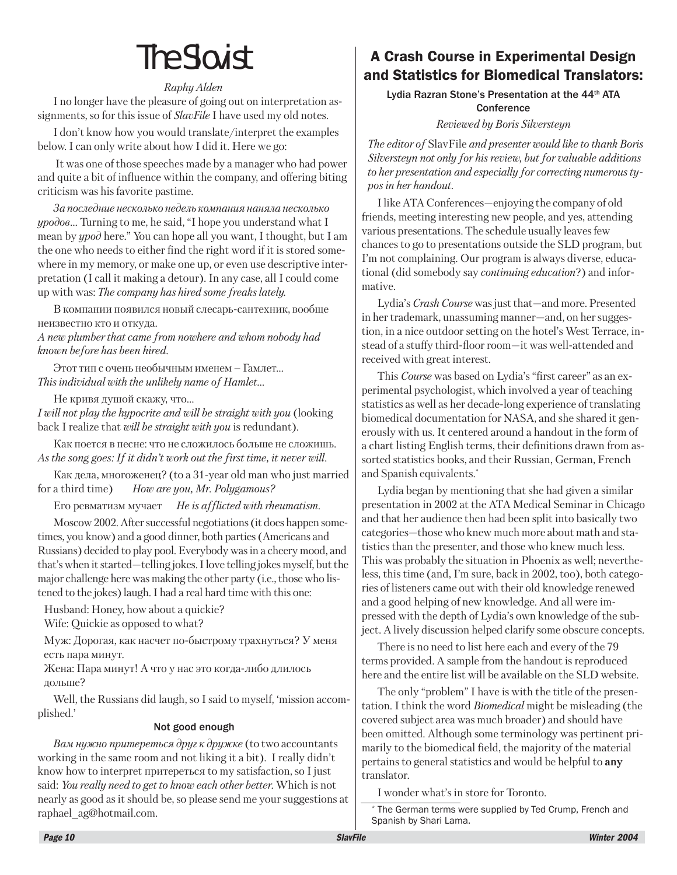## The Slovist

#### *Raphy Alden*

I no longer have the pleasure of going out on interpretation assignments, so for this issue of *SlavFile* I have used my old notes.

I don't know how you would translate/interpret the examples below. I can only write about how I did it. Here we go:

 It was one of those speeches made by a manager who had power and quite a bit of influence within the company, and offering biting criticism was his favorite pastime.

За последние несколько недель компания наняла несколько *óðîäîâ*… Turning to me, he said, "I hope you understand what I mean by *ypod* here." You can hope all you want, I thought, but I am the one who needs to either find the right word if it is stored somewhere in my memory, or make one up, or even use descriptive interpretation (I call it making a detour). In any case, all I could come up with was: *The company has hired some freaks lately.*

В компании появился новый слесарь-сантехник, вообще неизвестно кто и откуда.

*A new plumber that came from nowhere and whom nobody had known before has been hired.*

Этот тип с очень необычным именем – Гамлет... *This individual with the unlikely name of Hamlet…*

Не кривя душой скажу, что...

*I will not play the hypocrite and will be straight with you* (looking back I realize that *will be straight with you* is redundant).

Как поется в песне: что не сложилось больше не сложишь. *As the song goes: If it didn't work out the first time, it never will.*

Как дела, многоженец? (to a 31-year old man who just married for a third time) *How are you, Mr. Polygamous?*

Åãî ðåâìàòèçì ìó÷àåò *He is afflicted with rheumatism.*

Moscow 2002. After successful negotiations (it does happen sometimes, you know) and a good dinner, both parties (Americans and Russians) decided to play pool. Everybody was in a cheery mood, and that's when it started—telling jokes. I love telling jokes myself, but the major challenge here was making the other party (i.e., those who listened to the jokes) laugh. I had a real hard time with this one:

Husband: Honey, how about a quickie? Wife: Quickie as opposed to what?

Муж: Дорогая, как насчет по-быстрому трахнуться? У меня есть пара минут.

Жена: Пара минут! А что у нас это когда-либо длилось дольше?

Well, the Russians did laugh, so I said to myself, 'mission accomplished.'

#### Not good enough

*Вам нужно притереться друг к дружке* (to two accountants working in the same room and not liking it a bit). I really didn't know how to interpret притереться to my satisfaction, so I just said: *You really need to get to know each other better.* Which is not nearly as good as it should be, so please send me your suggestions at raphael\_ag@hotmail.com.

## A Crash Course in Experimental Design and Statistics for Biomedical Translators:

Lydia Razran Stone's Presentation at the 44<sup>th</sup> ATA **Conference** 

*Reviewed by Boris Silversteyn*

*The editor of* SlavFile *and presenter would like to thank Boris Silversteyn not only for his review, but for valuable additions to her presentation and especially for correcting numerous typos in her handout.*

I like ATA Conferences—enjoying the company of old friends, meeting interesting new people, and yes, attending various presentations. The schedule usually leaves few chances to go to presentations outside the SLD program, but I'm not complaining. Our program is always diverse, educational (did somebody say *continuing education*?) and informative.

Lydia's *Crash Course* was just that—and more. Presented in her trademark, unassuming manner—and, on her suggestion, in a nice outdoor setting on the hotel's West Terrace, instead of a stuffy third-floor room—it was well-attended and received with great interest.

This *Course* was based on Lydia's "first career" as an experimental psychologist, which involved a year of teaching statistics as well as her decade-long experience of translating biomedical documentation for NASA, and she shared it generously with us. It centered around a handout in the form of a chart listing English terms, their definitions drawn from assorted statistics books, and their Russian, German, French and Spanish equivalents.\*

Lydia began by mentioning that she had given a similar presentation in 2002 at the ATA Medical Seminar in Chicago and that her audience then had been split into basically two categories—those who knew much more about math and statistics than the presenter, and those who knew much less. This was probably the situation in Phoenix as well; nevertheless, this time (and, I'm sure, back in 2002, too), both categories of listeners came out with their old knowledge renewed and a good helping of new knowledge. And all were impressed with the depth of Lydia's own knowledge of the subject. A lively discussion helped clarify some obscure concepts.

There is no need to list here each and every of the 79 terms provided. A sample from the handout is reproduced here and the entire list will be available on the SLD website.

The only "problem" I have is with the title of the presentation. I think the word *Biomedical* might be misleading (the covered subject area was much broader) and should have been omitted. Àlthough some terminology was pertinent primarily to the biomedical field, the majority of the material pertains to general statistics and would be helpful to **any** translator.

I wonder what's in store for Toronto.

\* The German terms were supplied by Ted Crump, French and Spanish by Shari Lama.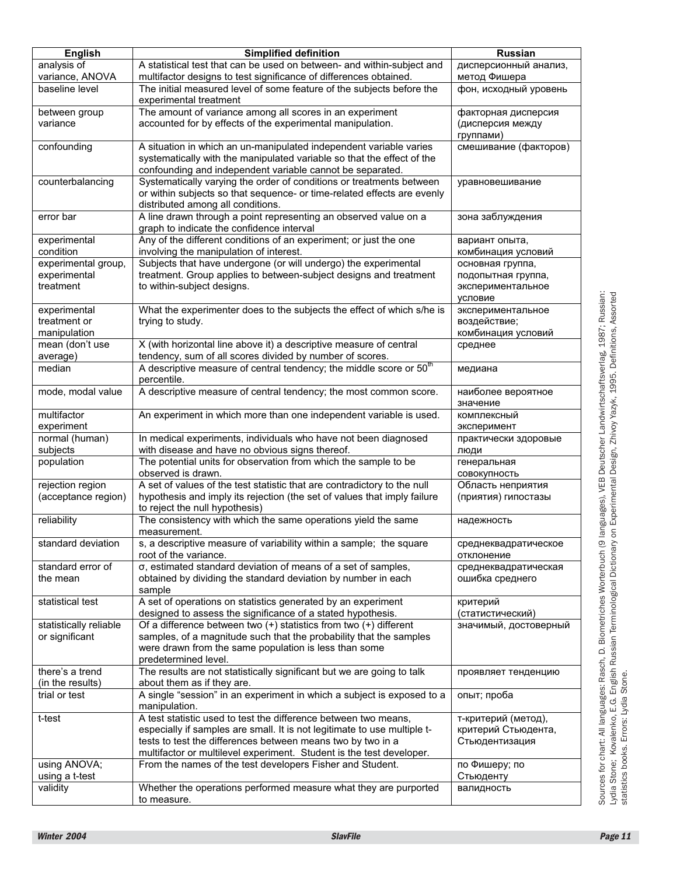| analysis of<br>variance, ANOVA<br>baseline level | A statistical test that can be used on between- and within-subject and<br>multifactor designs to test significance of differences obtained.<br>The initial measured level of some feature of the subjects before the | дисперсионный анализ,<br>метод Фишера  |
|--------------------------------------------------|----------------------------------------------------------------------------------------------------------------------------------------------------------------------------------------------------------------------|----------------------------------------|
|                                                  |                                                                                                                                                                                                                      |                                        |
|                                                  |                                                                                                                                                                                                                      |                                        |
|                                                  | experimental treatment                                                                                                                                                                                               | фон, исходный уровень                  |
| between group                                    | The amount of variance among all scores in an experiment                                                                                                                                                             | факторная дисперсия                    |
| variance                                         | accounted for by effects of the experimental manipulation.                                                                                                                                                           | (дисперсия между<br>группами)          |
| confounding                                      | A situation in which an un-manipulated independent variable varies                                                                                                                                                   | смешивание (факторов)                  |
|                                                  | systematically with the manipulated variable so that the effect of the                                                                                                                                               |                                        |
|                                                  | confounding and independent variable cannot be separated.                                                                                                                                                            |                                        |
| counterbalancing                                 | Systematically varying the order of conditions or treatments between                                                                                                                                                 | уравновешивание                        |
|                                                  | or within subjects so that sequence- or time-related effects are evenly                                                                                                                                              |                                        |
|                                                  | distributed among all conditions.                                                                                                                                                                                    |                                        |
| error bar                                        | A line drawn through a point representing an observed value on a<br>graph to indicate the confidence interval                                                                                                        | зона заблуждения                       |
| experimental                                     | Any of the different conditions of an experiment; or just the one                                                                                                                                                    |                                        |
| condition                                        | involving the manipulation of interest.                                                                                                                                                                              | вариант опыта,<br>комбинация условий   |
| experimental group,                              | Subjects that have undergone (or will undergo) the experimental                                                                                                                                                      |                                        |
| experimental                                     | treatment. Group applies to between-subject designs and treatment                                                                                                                                                    | основная группа,<br>подопытная группа, |
| treatment                                        | to within-subject designs.                                                                                                                                                                                           |                                        |
|                                                  |                                                                                                                                                                                                                      | экспериментальное<br>условие           |
| experimental                                     | What the experimenter does to the subjects the effect of which s/he is                                                                                                                                               | экспериментальное                      |
| treatment or                                     | trying to study.                                                                                                                                                                                                     | воздействие;                           |
| manipulation                                     |                                                                                                                                                                                                                      | комбинация условий                     |
| mean (don't use                                  | X (with horizontal line above it) a descriptive measure of central                                                                                                                                                   | среднее                                |
| average)                                         | tendency, sum of all scores divided by number of scores.                                                                                                                                                             |                                        |
| median                                           | A descriptive measure of central tendency; the middle score or 50 <sup>th</sup>                                                                                                                                      | медиана                                |
|                                                  | percentile.                                                                                                                                                                                                          |                                        |
| mode, modal value                                | A descriptive measure of central tendency; the most common score.                                                                                                                                                    | наиболее вероятное                     |
|                                                  |                                                                                                                                                                                                                      | значение                               |
| multifactor                                      | An experiment in which more than one independent variable is used.                                                                                                                                                   | комплексный                            |
| experiment                                       |                                                                                                                                                                                                                      | эксперимент                            |
| normal (human)                                   | In medical experiments, individuals who have not been diagnosed                                                                                                                                                      | практически здоровые                   |
| subjects                                         | with disease and have no obvious signs thereof.                                                                                                                                                                      | люди                                   |
| population                                       | The potential units for observation from which the sample to be                                                                                                                                                      | генеральная                            |
|                                                  | observed is drawn.                                                                                                                                                                                                   | СОВОКУПНОСТЬ                           |
| rejection region                                 | A set of values of the test statistic that are contradictory to the null                                                                                                                                             | Область неприятия                      |
| (acceptance region)                              | hypothesis and imply its rejection (the set of values that imply failure<br>to reject the null hypothesis)                                                                                                           | (приятия) гипостазы                    |
| reliability                                      | The consistency with which the same operations yield the same                                                                                                                                                        | надежность                             |
|                                                  | measurement.                                                                                                                                                                                                         |                                        |
| standard deviation                               | s, a descriptive measure of variability within a sample; the square                                                                                                                                                  | среднеквадратическое                   |
|                                                  | root of the variance.                                                                                                                                                                                                | отклонение                             |
| standard error of                                | σ, estimated standard deviation of means of a set of samples,                                                                                                                                                        | среднеквадратическая                   |
| the mean                                         | obtained by dividing the standard deviation by number in each                                                                                                                                                        | ошибка среднего                        |
|                                                  | sample                                                                                                                                                                                                               |                                        |
| statistical test                                 | A set of operations on statistics generated by an experiment                                                                                                                                                         | критерий                               |
|                                                  | designed to assess the significance of a stated hypothesis.                                                                                                                                                          | (статистический)                       |
| statistically reliable                           | Of a difference between two (+) statistics from two (+) different                                                                                                                                                    | значимый, достоверный                  |
| or significant                                   | samples, of a magnitude such that the probability that the samples                                                                                                                                                   |                                        |
|                                                  | were drawn from the same population is less than some                                                                                                                                                                |                                        |
|                                                  | predetermined level.                                                                                                                                                                                                 |                                        |
| there's a trend                                  | The results are not statistically significant but we are going to talk                                                                                                                                               | проявляет тенденцию                    |
| (in the results)                                 | about them as if they are.                                                                                                                                                                                           |                                        |
| trial or test                                    | A single "session" in an experiment in which a subject is exposed to a                                                                                                                                               | опыт; проба                            |
|                                                  | manipulation.                                                                                                                                                                                                        |                                        |
| t-test                                           | A test statistic used to test the difference between two means,                                                                                                                                                      | т-критерий (метод),                    |
|                                                  | especially if samples are small. It is not legitimate to use multiple t-                                                                                                                                             | критерий Стьюдента,                    |
|                                                  | tests to test the differences between means two by two in a                                                                                                                                                          | Стьюдентизация                         |
|                                                  | multifactor or multilevel experiment. Student is the test developer.                                                                                                                                                 |                                        |
| using ANOVA;                                     | From the names of the test developers Fisher and Student.                                                                                                                                                            | по Фишеру; по                          |
| using a t-test<br>validity                       |                                                                                                                                                                                                                      | Стьюденту                              |
|                                                  | Whether the operations performed measure what they are purported<br>to measure.                                                                                                                                      | валидность                             |
|                                                  |                                                                                                                                                                                                                      |                                        |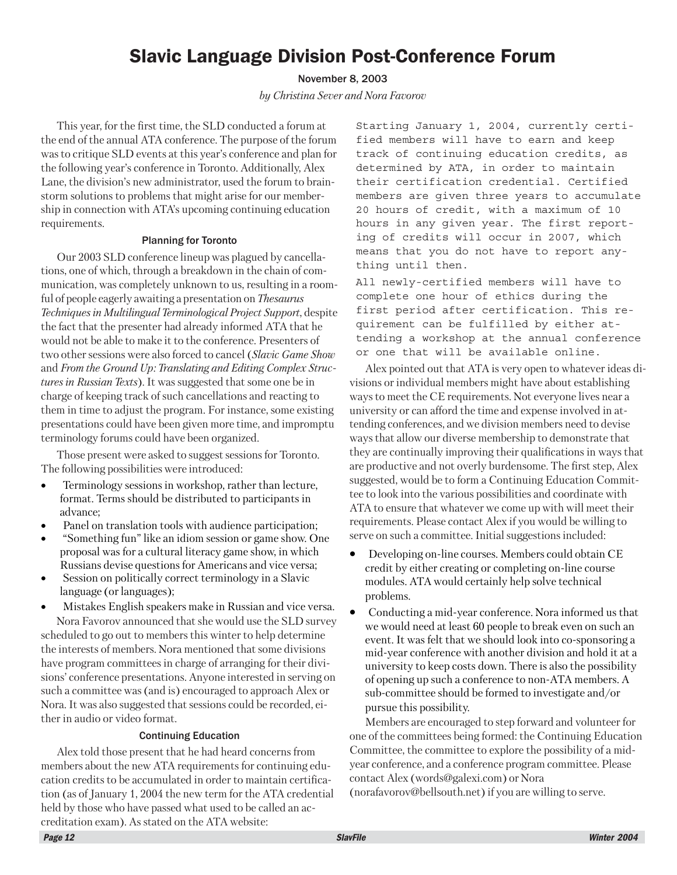## Slavic Language Division Post-Conference Forum

November 8, 2003

*by Christina Sever and Nora Favorov*

This year, for the first time, the SLD conducted a forum at the end of the annual ATA conference. The purpose of the forum was to critique SLD events at this year's conference and plan for the following year's conference in Toronto. Additionally, Alex Lane, the division's new administrator, used the forum to brainstorm solutions to problems that might arise for our membership in connection with ATA's upcoming continuing education requirements.

#### Planning for Toronto

Our 2003 SLD conference lineup was plagued by cancellations, one of which, through a breakdown in the chain of communication, was completely unknown to us, resulting in a roomful of people eagerly awaiting a presentation on *Thesaurus Techniques in Multilingual Terminological Project Support*, despite the fact that the presenter had already informed ATA that he would not be able to make it to the conference. Presenters of two other sessions were also forced to cancel (*Slavic Game Show* and *From the Ground Up: Translating and Editing Complex Structures in Russian Texts*). It was suggested that some one be in charge of keeping track of such cancellations and reacting to them in time to adjust the program. For instance, some existing presentations could have been given more time, and impromptu terminology forums could have been organized.

Those present were asked to suggest sessions for Toronto. The following possibilities were introduced:

- Terminology sessions in workshop, rather than lecture, format. Terms should be distributed to participants in advance;
- Panel on translation tools with audience participation;
- "Something fun" like an idiom session or game show. One proposal was for a cultural literacy game show, in which Russians devise questions for Americans and vice versa;
- Session on politically correct terminology in a Slavic language (or languages);

• Mistakes English speakers make in Russian and vice versa. Nora Favorov announced that she would use the SLD survey scheduled to go out to members this winter to help determine the interests of members. Nora mentioned that some divisions have program committees in charge of arranging for their divisions' conference presentations. Anyone interested in serving on such a committee was (and is) encouraged to approach Alex or Nora. It was also suggested that sessions could be recorded, either in audio or video format.

#### Continuing Education

Alex told those present that he had heard concerns from members about the new ATA requirements for continuing education credits to be accumulated in order to maintain certification (as of January 1, 2004 the new term for the ATA credential held by those who have passed what used to be called an accreditation exam). As stated on the ATA website:

Starting January 1, 2004, currently certified members will have to earn and keep track of continuing education credits, as determined by ATA, in order to maintain their certification credential. Certified members are given three years to accumulate 20 hours of credit, with a maximum of 10 hours in any given year. The first reporting of credits will occur in 2007, which means that you do not have to report anything until then.

All newly-certified members will have to complete one hour of ethics during the first period after certification. This requirement can be fulfilled by either attending a workshop at the annual conference or one that will be available online.

Alex pointed out that ATA is very open to whatever ideas divisions or individual members might have about establishing ways to meet the CE requirements. Not everyone lives near a university or can afford the time and expense involved in attending conferences, and we division members need to devise ways that allow our diverse membership to demonstrate that they are continually improving their qualifications in ways that are productive and not overly burdensome. The first step, Alex suggested, would be to form a Continuing Education Committee to look into the various possibilities and coordinate with ATA to ensure that whatever we come up with will meet their requirements. Please contact Alex if you would be willing to serve on such a committee. Initial suggestions included:

- Developing on-line courses. Members could obtain CE credit by either creating or completing on-line course modules. ATA would certainly help solve technical problems.
- Conducting a mid-year conference. Nora informed us that we would need at least 60 people to break even on such an event. It was felt that we should look into co-sponsoring a mid-year conference with another division and hold it at a university to keep costs down. There is also the possibility of opening up such a conference to non-ATA members. A sub-committee should be formed to investigate and/or pursue this possibility.

Members are encouraged to step forward and volunteer for one of the committees being formed: the Continuing Education Committee, the committee to explore the possibility of a midyear conference, and a conference program committee. Please contact Alex (words@galexi.com) or Nora (norafavorov@bellsouth.net) if you are willing to serve.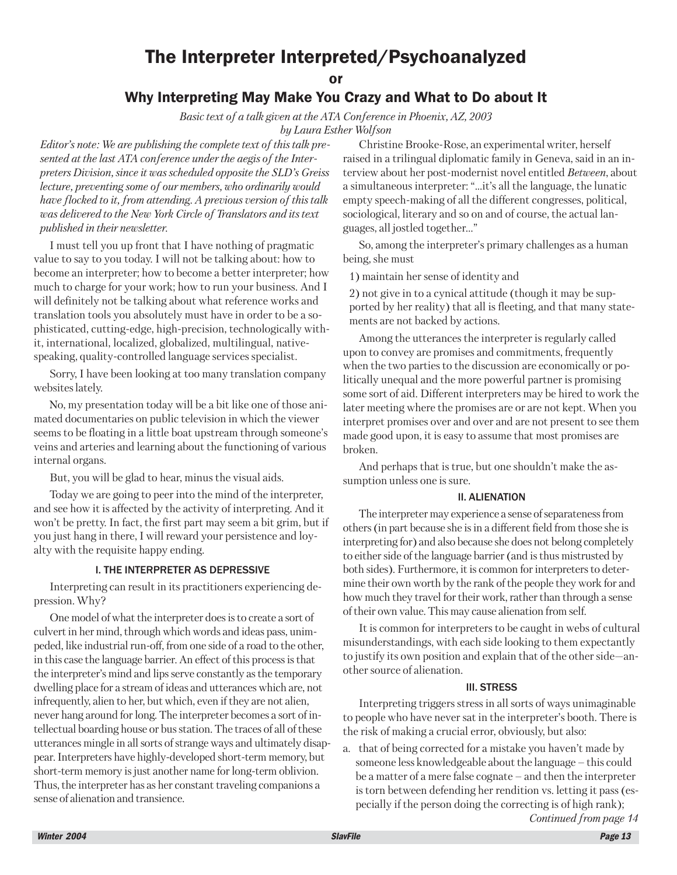## The Interpreter Interpreted/Psychoanalyzed

or

### Why Interpreting May Make You Crazy and What to Do about It

*Basic text of a talk given at the ATA Conference in Phoenix, AZ, 2003 by Laura Esther Wolfson*

*Editor's note: We are publishing the complete text of this talk presented at the last ATA conference under the aegis of the Interpreters Division, since it was scheduled opposite the SLD's Greiss lecture, preventing some of our members, who ordinarily would have flocked to it, from attending. A previous version of this talk was delivered to the New York Circle of Translators and its text published in their newsletter.*

I must tell you up front that I have nothing of pragmatic value to say to you today. I will not be talking about: how to become an interpreter; how to become a better interpreter; how much to charge for your work; how to run your business. And I will definitely not be talking about what reference works and translation tools you absolutely must have in order to be a sophisticated, cutting-edge, high-precision, technologically withit, international, localized, globalized, multilingual, nativespeaking, quality-controlled language services specialist.

Sorry, I have been looking at too many translation company websites lately.

No, my presentation today will be a bit like one of those animated documentaries on public television in which the viewer seems to be floating in a little boat upstream through someone's veins and arteries and learning about the functioning of various internal organs.

But, you will be glad to hear, minus the visual aids.

Today we are going to peer into the mind of the interpreter, and see how it is affected by the activity of interpreting. And it won't be pretty. In fact, the first part may seem a bit grim, but if you just hang in there, I will reward your persistence and loyalty with the requisite happy ending.

#### I. THE INTERPRETER AS DEPRESSIVE

Interpreting can result in its practitioners experiencing depression. Why?

One model of what the interpreter does is to create a sort of culvert in her mind, through which words and ideas pass, unimpeded, like industrial run-off, from one side of a road to the other, in this case the language barrier. An effect of this process is that the interpreter's mind and lips serve constantly as the temporary dwelling place for a stream of ideas and utterances which are, not infrequently, alien to her, but which, even if they are not alien, never hang around for long. The interpreter becomes a sort of intellectual boarding house or bus station. The traces of all of these utterances mingle in all sorts of strange ways and ultimately disappear. Interpreters have highly-developed short-term memory, but short-term memory is just another name for long-term oblivion. Thus, the interpreter has as her constant traveling companions a sense of alienation and transience.

Christine Brooke-Rose, an experimental writer, herself raised in a trilingual diplomatic family in Geneva, said in an interview about her post-modernist novel entitled *Between*, about a simultaneous interpreter: "...it's all the language, the lunatic empty speech-making of all the different congresses, political, sociological, literary and so on and of course, the actual languages, all jostled together…"

So, among the interpreter's primary challenges as a human being, she must

1) maintain her sense of identity and

2) not give in to a cynical attitude (though it may be supported by her reality) that all is fleeting, and that many statements are not backed by actions.

Among the utterances the interpreter is regularly called upon to convey are promises and commitments, frequently when the two parties to the discussion are economically or politically unequal and the more powerful partner is promising some sort of aid. Different interpreters may be hired to work the later meeting where the promises are or are not kept. When you interpret promises over and over and are not present to see them made good upon, it is easy to assume that most promises are broken.

And perhaps that is true, but one shouldn't make the assumption unless one is sure.

#### II. ALIENATION

The interpreter may experience a sense of separateness from others (in part because she is in a different field from those she is interpreting for) and also because she does not belong completely to either side of the language barrier (and is thus mistrusted by both sides). Furthermore, it is common for interpreters to determine their own worth by the rank of the people they work for and how much they travel for their work, rather than through a sense of their own value. This may cause alienation from self.

It is common for interpreters to be caught in webs of cultural misunderstandings, with each side looking to them expectantly to justify its own position and explain that of the other side—another source of alienation.

#### III. STRESS

Interpreting triggers stress in all sorts of ways unimaginable to people who have never sat in the interpreter's booth. There is the risk of making a crucial error, obviously, but also:

a. that of being corrected for a mistake you haven't made by someone less knowledgeable about the language – this could be a matter of a mere false cognate – and then the interpreter is torn between defending her rendition vs. letting it pass (especially if the person doing the correcting is of high rank);

*Continued from page 14*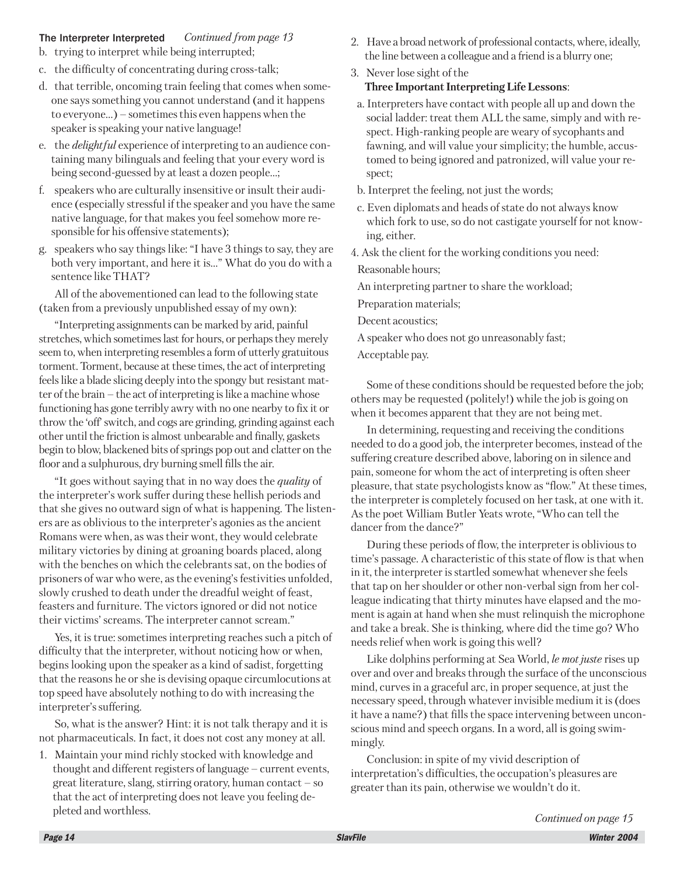#### The Interpreter Interpreted *Continued from page 13*

- b. trying to interpret while being interrupted;
- c. the difficulty of concentrating during cross-talk;
- d. that terrible, oncoming train feeling that comes when someone says something you cannot understand (and it happens to everyone…) – sometimes this even happens when the speaker is speaking your native language!
- e. the *delightful* experience of interpreting to an audience containing many bilinguals and feeling that your every word is being second-guessed by at least a dozen people…;
- f. speakers who are culturally insensitive or insult their audience (especially stressful if the speaker and you have the same native language, for that makes you feel somehow more responsible for his offensive statements);
- g. speakers who say things like: "I have 3 things to say, they are both very important, and here it is…" What do you do with a sentence like THAT?

All of the abovementioned can lead to the following state (taken from a previously unpublished essay of my own):

"Interpreting assignments can be marked by arid, painful stretches, which sometimes last for hours, or perhaps they merely seem to, when interpreting resembles a form of utterly gratuitous torment. Torment, because at these times, the act of interpreting feels like a blade slicing deeply into the spongy but resistant matter of the brain – the act of interpreting is like a machine whose functioning has gone terribly awry with no one nearby to fix it or throw the 'off' switch, and cogs are grinding, grinding against each other until the friction is almost unbearable and finally, gaskets begin to blow, blackened bits of springs pop out and clatter on the floor and a sulphurous, dry burning smell fills the air.

"It goes without saying that in no way does the *quality* of the interpreter's work suffer during these hellish periods and that she gives no outward sign of what is happening. The listeners are as oblivious to the interpreter's agonies as the ancient Romans were when, as was their wont, they would celebrate military victories by dining at groaning boards placed, along with the benches on which the celebrants sat, on the bodies of prisoners of war who were, as the evening's festivities unfolded, slowly crushed to death under the dreadful weight of feast, feasters and furniture. The victors ignored or did not notice their victims' screams. The interpreter cannot scream."

Yes, it is true: sometimes interpreting reaches such a pitch of difficulty that the interpreter, without noticing how or when, begins looking upon the speaker as a kind of sadist, forgetting that the reasons he or she is devising opaque circumlocutions at top speed have absolutely nothing to do with increasing the interpreter's suffering.

So, what is the answer? Hint: it is not talk therapy and it is not pharmaceuticals. In fact, it does not cost any money at all.

1. Maintain your mind richly stocked with knowledge and thought and different registers of language – current events, great literature, slang, stirring oratory, human contact – so that the act of interpreting does not leave you feeling depleted and worthless.

- 2. Have a broad network of professional contacts, where, ideally, the line between a colleague and a friend is a blurry one;
- 3. Never lose sight of the **Three Important Interpreting Life Lessons**:
- a. Interpreters have contact with people all up and down the social ladder: treat them ALL the same, simply and with respect. High-ranking people are weary of sycophants and fawning, and will value your simplicity; the humble, accustomed to being ignored and patronized, will value your respect;
- b. Interpret the feeling, not just the words;
- c. Even diplomats and heads of state do not always know which fork to use, so do not castigate yourself for not knowing, either.
- 4. Ask the client for the working conditions you need:

Reasonable hours;

An interpreting partner to share the workload;

Preparation materials;

Decent acoustics;

A speaker who does not go unreasonably fast;

Acceptable pay.

Some of these conditions should be requested before the job; others may be requested (politely!) while the job is going on when it becomes apparent that they are not being met.

In determining, requesting and receiving the conditions needed to do a good job, the interpreter becomes, instead of the suffering creature described above, laboring on in silence and pain, someone for whom the act of interpreting is often sheer pleasure, that state psychologists know as "flow." At these times, the interpreter is completely focused on her task, at one with it. As the poet William Butler Yeats wrote, "Who can tell the dancer from the dance?"

During these periods of flow, the interpreter is oblivious to time's passage. A characteristic of this state of flow is that when in it, the interpreter is startled somewhat whenever she feels that tap on her shoulder or other non-verbal sign from her colleague indicating that thirty minutes have elapsed and the moment is again at hand when she must relinquish the microphone and take a break. She is thinking, where did the time go? Who needs relief when work is going this well?

Like dolphins performing at Sea World, *le mot juste* rises up over and over and breaks through the surface of the unconscious mind, curves in a graceful arc, in proper sequence, at just the necessary speed, through whatever invisible medium it is (does it have a name?) that fills the space intervening between unconscious mind and speech organs. In a word, all is going swimmingly.

Conclusion: in spite of my vivid description of interpretation's difficulties, the occupation's pleasures are greater than its pain, otherwise we wouldn't do it.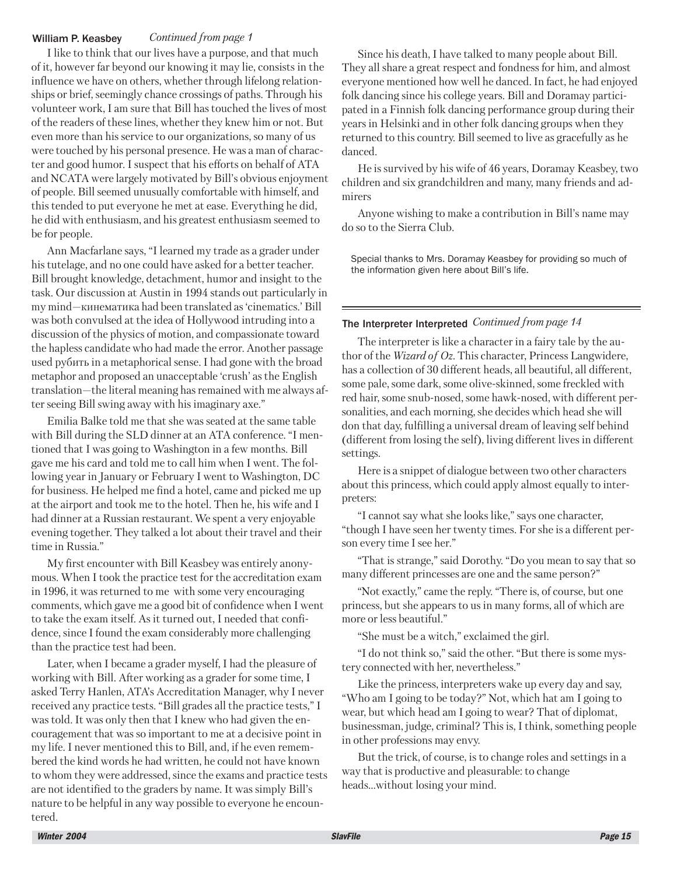#### *Continued from page 1* William P. Keasbey

I like to think that our lives have a purpose, and that much of it, however far beyond our knowing it may lie, consists in the influence we have on others, whether through lifelong relationships or brief, seemingly chance crossings of paths. Through his volunteer work, I am sure that Bill has touched the lives of most of the readers of these lines, whether they knew him or not. But even more than his service to our organizations, so many of us were touched by his personal presence. He was a man of character and good humor. I suspect that his efforts on behalf of ATA and NCATA were largely motivated by Bill's obvious enjoyment of people. Bill seemed unusually comfortable with himself, and this tended to put everyone he met at ease. Everything he did, he did with enthusiasm, and his greatest enthusiasm seemed to be for people.

Ann Macfarlane says, "I learned my trade as a grader under his tutelage, and no one could have asked for a better teacher. Bill brought knowledge, detachment, humor and insight to the task. Our discussion at Austin in 1994 stands out particularly in mу mind—кинематика had been translated as 'cinematics.' Bill was both convulsed at the idea of Hollywood intruding into a discussion of the physics of motion, and compassionate toward the hapless candidate who had made the error. Another passage used рубить in a metaphorical sense. I had gone with the broad metaphor and proposed an unacceptable 'crush' as the English translation—the literal meaning has remained with me always after seeing Bill swing away with his imaginary axe."

Emilia Balke told me that she was seated at the same table with Bill during the SLD dinner at an ATA conference. "I mentioned that I was going to Washington in a few months. Bill gave me his card and told me to call him when I went. The following year in January or February I went to Washington, DC for business. He helped me find a hotel, came and picked me up at the airport and took me to the hotel. Then he, his wife and I had dinner at a Russian restaurant. We spent a very enjoyable evening together. They talked a lot about their travel and their time in Russia."

My first encounter with Bill Keasbey was entirely anonymous. When I took the practice test for the accreditation exam in 1996, it was returned to me with some very encouraging comments, which gave me a good bit of confidence when I went to take the exam itself. As it turned out, I needed that confidence, since I found the exam considerably more challenging than the practice test had been.

Later, when I became a grader myself, I had the pleasure of working with Bill. After working as a grader for some time, I asked Terry Hanlen, ATA's Accreditation Manager, why I never received any practice tests. "Bill grades all the practice tests," I was told. It was only then that I knew who had given the encouragement that was so important to me at a decisive point in my life. I never mentioned this to Bill, and, if he even remembered the kind words he had written, he could not have known to whom they were addressed, since the exams and practice tests are not identified to the graders by name. It was simply Bill's nature to be helpful in any way possible to everyone he encountered.

Since his death, I have talked to many people about Bill. They all share a great respect and fondness for him, and almost everyone mentioned how well he danced. In fact, he had enjoyed folk dancing since his college years. Bill and Doramay participated in a Finnish folk dancing performance group during their years in Helsinki and in other folk dancing groups when they returned to this country. Bill seemed to live as gracefully as he danced.

He is survived by his wife of 46 years, Doramay Keasbey, two children and six grandchildren and many, many friends and admirers

Anyone wishing to make a contribution in Bill's name may do so to the Sierra Club.

Special thanks to Mrs. Doramay Keasbey for providing so much of the information given here about Bill's life.

#### The Interpreter Interpreted *Continued from page 14*

The interpreter is like a character in a fairy tale by the author of the *Wizard of Oz*. This character, Princess Langwidere, has a collection of 30 different heads, all beautiful, all different, some pale, some dark, some olive-skinned, some freckled with red hair, some snub-nosed, some hawk-nosed, with different personalities, and each morning, she decides which head she will don that day, fulfilling a universal dream of leaving self behind (different from losing the self), living different lives in different settings.

Here is a snippet of dialogue between two other characters about this princess, which could apply almost equally to interpreters:

"I cannot say what she looks like," says one character, "though I have seen her twenty times. For she is a different person every time I see her."

"That is strange," said Dorothy. "Do you mean to say that so many different princesses are one and the same person?"

"Not exactly," came the reply. "There is, of course, but one princess, but she appears to us in many forms, all of which are more or less beautiful."

"She must be a witch," exclaimed the girl.

"I do not think so," said the other. "But there is some mystery connected with her, nevertheless."

Like the princess, interpreters wake up every day and say, "Who am I going to be today?" Not, which hat am I going to wear, but which head am I going to wear? That of diplomat, businessman, judge, criminal? This is, I think, something people in other professions may envy.

But the trick, of course, is to change roles and settings in a way that is productive and pleasurable: to change heads…without losing your mind.